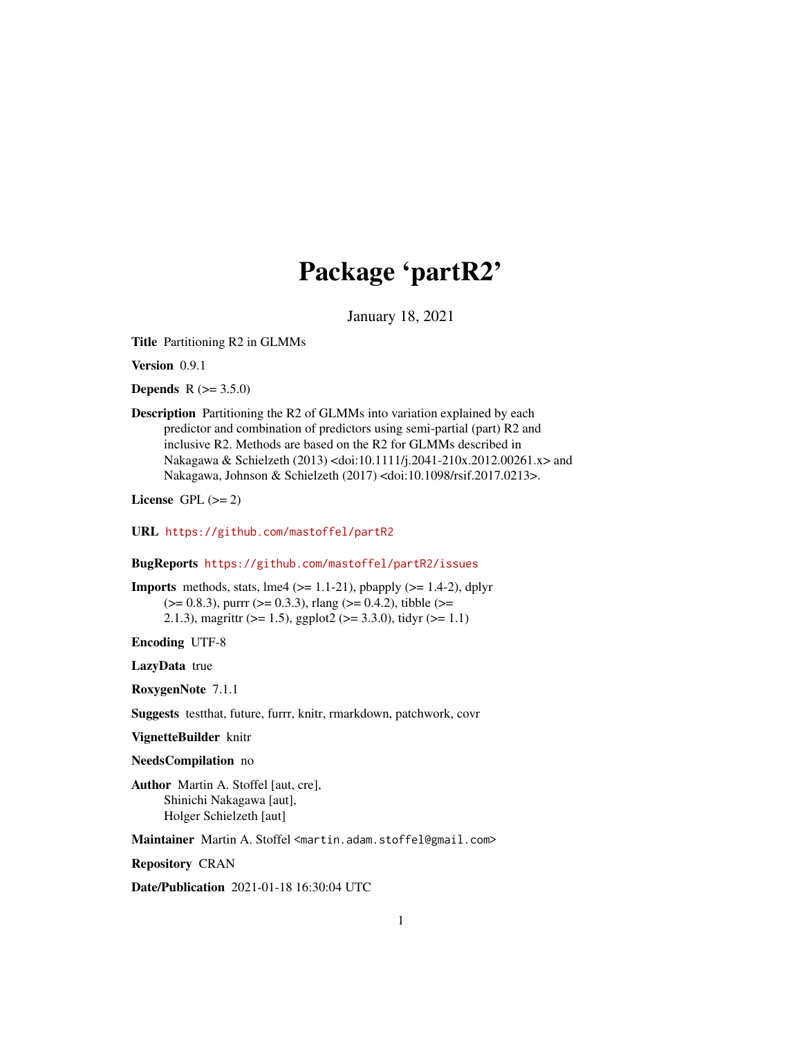# Package 'partR2'

January 18, 2021

Title Partitioning R2 in GLMMs

Version 0.9.1

**Depends** R  $(>= 3.5.0)$ 

Description Partitioning the R2 of GLMMs into variation explained by each predictor and combination of predictors using semi-partial (part) R2 and inclusive R2. Methods are based on the R2 for GLMMs described in Nakagawa & Schielzeth (2013) <doi:10.1111/j.2041-210x.2012.00261.x> and Nakagawa, Johnson & Schielzeth (2017) <doi:10.1098/rsif.2017.0213>.

License GPL  $(>= 2)$ 

URL <https://github.com/mastoffel/partR2>

BugReports <https://github.com/mastoffel/partR2/issues>

**Imports** methods, stats,  $\text{Im}e4$  ( $>= 1.1-21$ ), pbapply ( $>= 1.4-2$ ), dplyr  $(>= 0.8.3)$ , purrr  $(>= 0.3.3)$ , rlang  $(>= 0.4.2)$ , tibble  $(>= 0.8.3)$ 2.1.3), magrittr ( $>= 1.5$ ), ggplot2 ( $>= 3.3.0$ ), tidyr ( $>= 1.1$ )

Encoding UTF-8

LazyData true

RoxygenNote 7.1.1

Suggests testthat, future, furrr, knitr, rmarkdown, patchwork, covr

VignetteBuilder knitr

NeedsCompilation no

Author Martin A. Stoffel [aut, cre], Shinichi Nakagawa [aut], Holger Schielzeth [aut]

Maintainer Martin A. Stoffel <martin.adam.stoffel@gmail.com>

Repository CRAN

Date/Publication 2021-01-18 16:30:04 UTC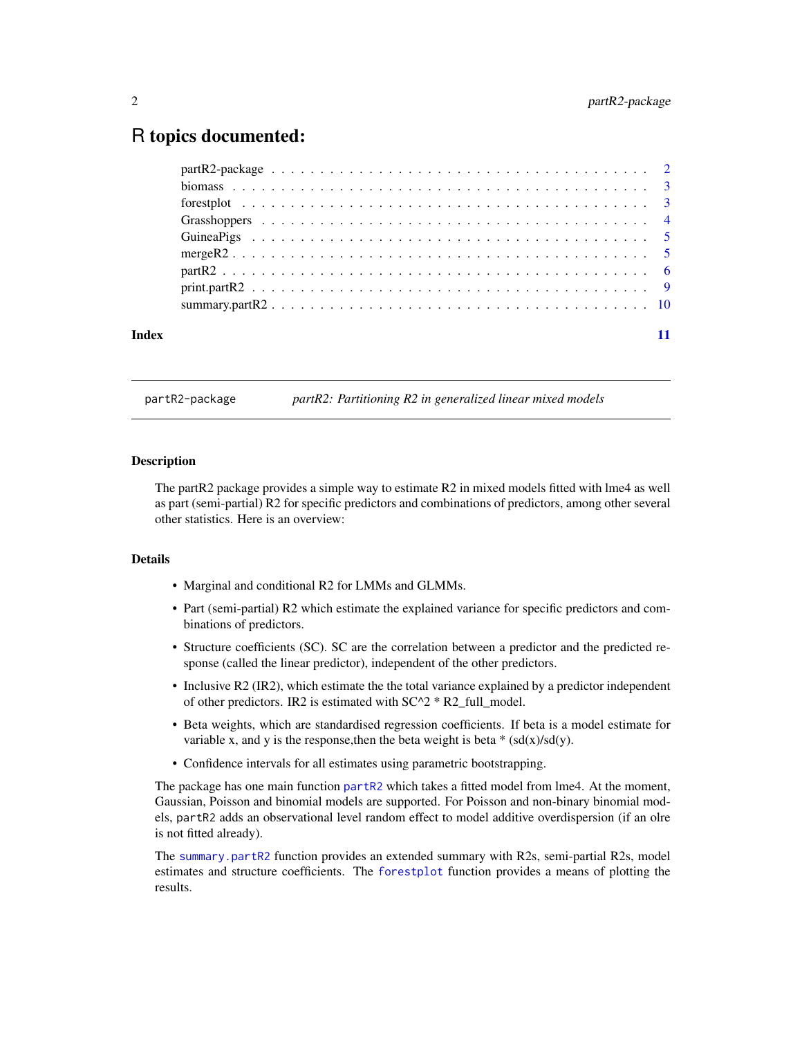# <span id="page-1-0"></span>R topics documented:

| Index |  |
|-------|--|
|       |  |

partR2-package *partR2: Partitioning R2 in generalized linear mixed models*

#### Description

The partR2 package provides a simple way to estimate R2 in mixed models fitted with lme4 as well as part (semi-partial) R2 for specific predictors and combinations of predictors, among other several other statistics. Here is an overview:

#### Details

- Marginal and conditional R2 for LMMs and GLMMs.
- Part (semi-partial) R2 which estimate the explained variance for specific predictors and combinations of predictors.
- Structure coefficients (SC). SC are the correlation between a predictor and the predicted response (called the linear predictor), independent of the other predictors.
- Inclusive R2 (IR2), which estimate the the total variance explained by a predictor independent of other predictors. IR2 is estimated with  $SC^2 * R2$  full\_model.
- Beta weights, which are standardised regression coefficients. If beta is a model estimate for variable x, and y is the response, then the beta weight is beta  $*(sd(x)/sd(y))$ .
- Confidence intervals for all estimates using parametric bootstrapping.

The package has one main function [partR2](#page-5-1) which takes a fitted model from lme4. At the moment, Gaussian, Poisson and binomial models are supported. For Poisson and non-binary binomial models, partR2 adds an observational level random effect to model additive overdispersion (if an olre is not fitted already).

The [summary.partR2](#page-9-1) function provides an extended summary with R2s, semi-partial R2s, model estimates and structure coefficients. The [forestplot](#page-2-1) function provides a means of plotting the results.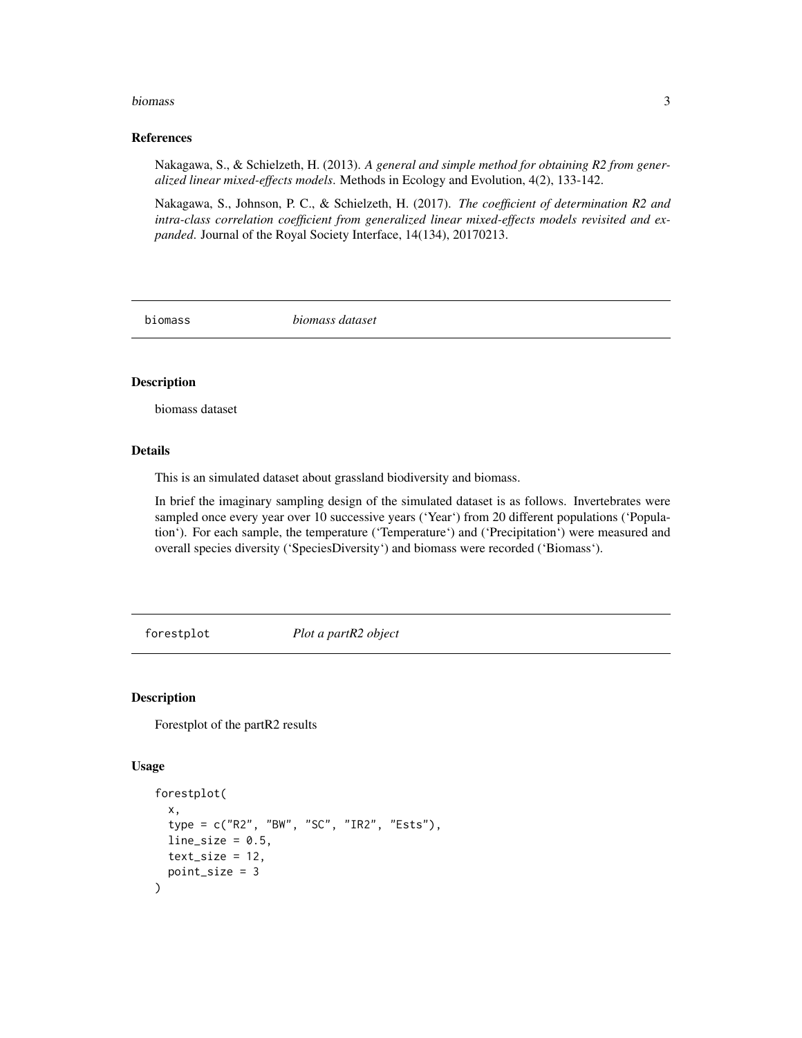#### <span id="page-2-0"></span>biomass 3

#### References

Nakagawa, S., & Schielzeth, H. (2013). *A general and simple method for obtaining R2 from generalized linear mixed-effects models*. Methods in Ecology and Evolution, 4(2), 133-142.

Nakagawa, S., Johnson, P. C., & Schielzeth, H. (2017). *The coefficient of determination R2 and intra-class correlation coefficient from generalized linear mixed-effects models revisited and expanded*. Journal of the Royal Society Interface, 14(134), 20170213.

biomass *biomass dataset*

## **Description**

biomass dataset

### Details

This is an simulated dataset about grassland biodiversity and biomass.

In brief the imaginary sampling design of the simulated dataset is as follows. Invertebrates were sampled once every year over 10 successive years ('Year') from 20 different populations ('Population'). For each sample, the temperature ('Temperature') and ('Precipitation') were measured and overall species diversity ('SpeciesDiversity') and biomass were recorded ('Biomass').

<span id="page-2-1"></span>forestplot *Plot a partR2 object*

#### Description

Forestplot of the partR2 results

#### Usage

```
forestplot(
  x,
  type = c("R2", "BW", "SC", "IR2", "Ests"),
  line_size = 0.5,
  text_size = 12,point_size = 3
)
```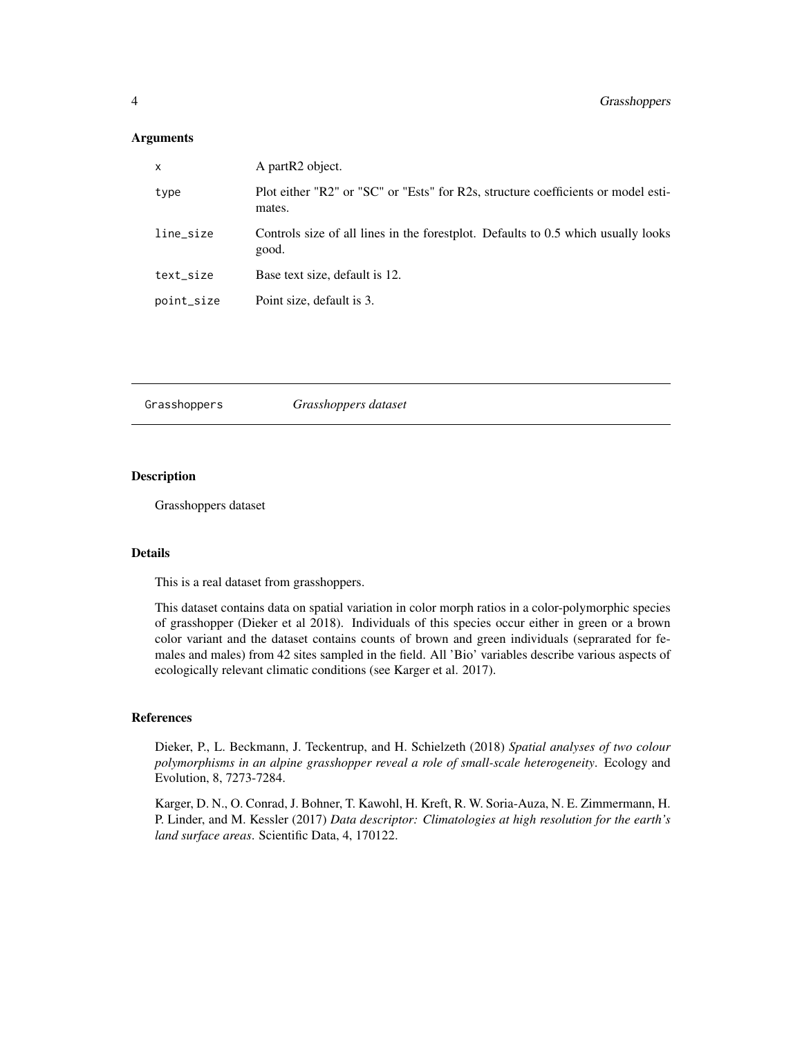#### <span id="page-3-0"></span>Arguments

| $\mathsf{x}$ | A partR <sub>2</sub> object.                                                                |
|--------------|---------------------------------------------------------------------------------------------|
| type         | Plot either "R2" or "SC" or "Ests" for R2s, structure coefficients or model esti-<br>mates. |
| line_size    | Controls size of all lines in the forestplot. Defaults to 0.5 which usually looks<br>good.  |
| text_size    | Base text size, default is 12.                                                              |
| point_size   | Point size, default is 3.                                                                   |
|              |                                                                                             |

Grasshoppers *Grasshoppers dataset*

#### Description

Grasshoppers dataset

#### Details

This is a real dataset from grasshoppers.

This dataset contains data on spatial variation in color morph ratios in a color-polymorphic species of grasshopper (Dieker et al 2018). Individuals of this species occur either in green or a brown color variant and the dataset contains counts of brown and green individuals (seprarated for females and males) from 42 sites sampled in the field. All 'Bio' variables describe various aspects of ecologically relevant climatic conditions (see Karger et al. 2017).

#### References

Dieker, P., L. Beckmann, J. Teckentrup, and H. Schielzeth (2018) *Spatial analyses of two colour polymorphisms in an alpine grasshopper reveal a role of small-scale heterogeneity*. Ecology and Evolution, 8, 7273-7284.

Karger, D. N., O. Conrad, J. Bohner, T. Kawohl, H. Kreft, R. W. Soria-Auza, N. E. Zimmermann, H. P. Linder, and M. Kessler (2017) *Data descriptor: Climatologies at high resolution for the earth's land surface areas*. Scientific Data, 4, 170122.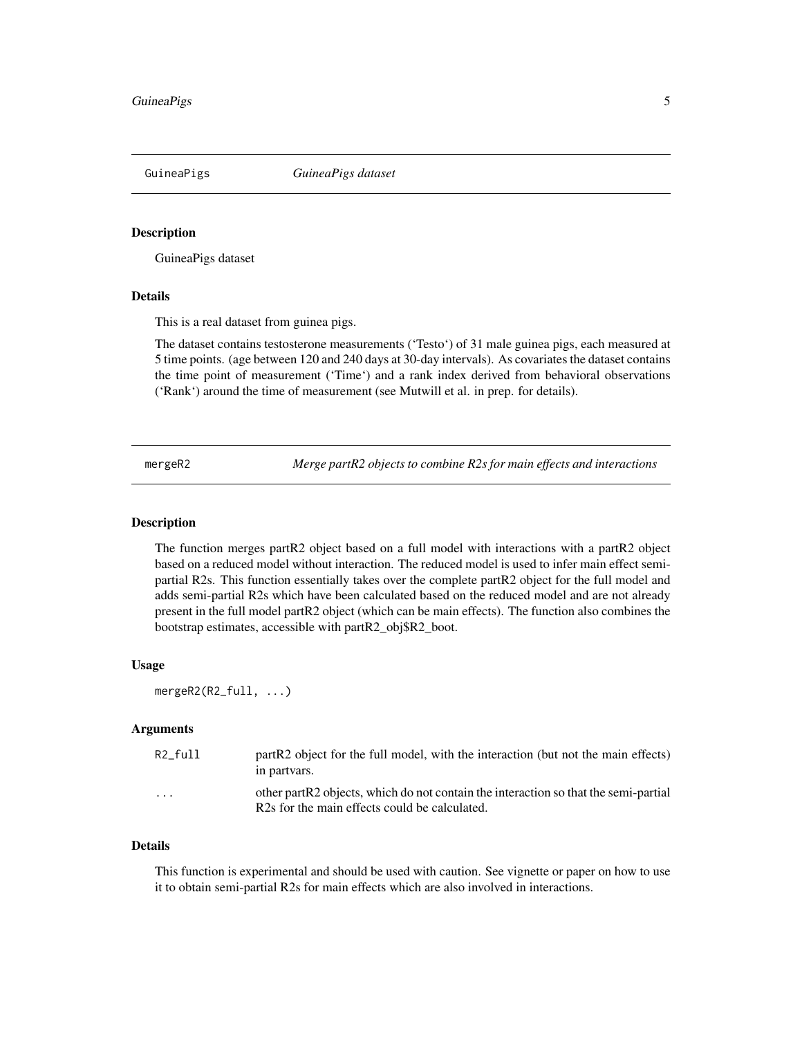<span id="page-4-0"></span>GuineaPigs *GuineaPigs dataset*

#### Description

GuineaPigs dataset

#### Details

This is a real dataset from guinea pigs.

The dataset contains testosterone measurements ('Testo') of 31 male guinea pigs, each measured at 5 time points. (age between 120 and 240 days at 30-day intervals). As covariates the dataset contains the time point of measurement ('Time') and a rank index derived from behavioral observations ('Rank') around the time of measurement (see Mutwill et al. in prep. for details).

mergeR2 *Merge partR2 objects to combine R2s for main effects and interactions*

#### Description

The function merges partR2 object based on a full model with interactions with a partR2 object based on a reduced model without interaction. The reduced model is used to infer main effect semipartial R2s. This function essentially takes over the complete partR2 object for the full model and adds semi-partial R2s which have been calculated based on the reduced model and are not already present in the full model partR2 object (which can be main effects). The function also combines the bootstrap estimates, accessible with partR2\_obj\$R2\_boot.

#### Usage

```
mergeR2(R2_full, ...)
```
#### Arguments

| R2 full | partR2 object for the full model, with the interaction (but not the main effects)<br>in partvars.                                                 |
|---------|---------------------------------------------------------------------------------------------------------------------------------------------------|
| .       | other part R2 objects, which do not contain the interaction so that the semi-partial<br>R <sub>2s</sub> for the main effects could be calculated. |

#### Details

This function is experimental and should be used with caution. See vignette or paper on how to use it to obtain semi-partial R2s for main effects which are also involved in interactions.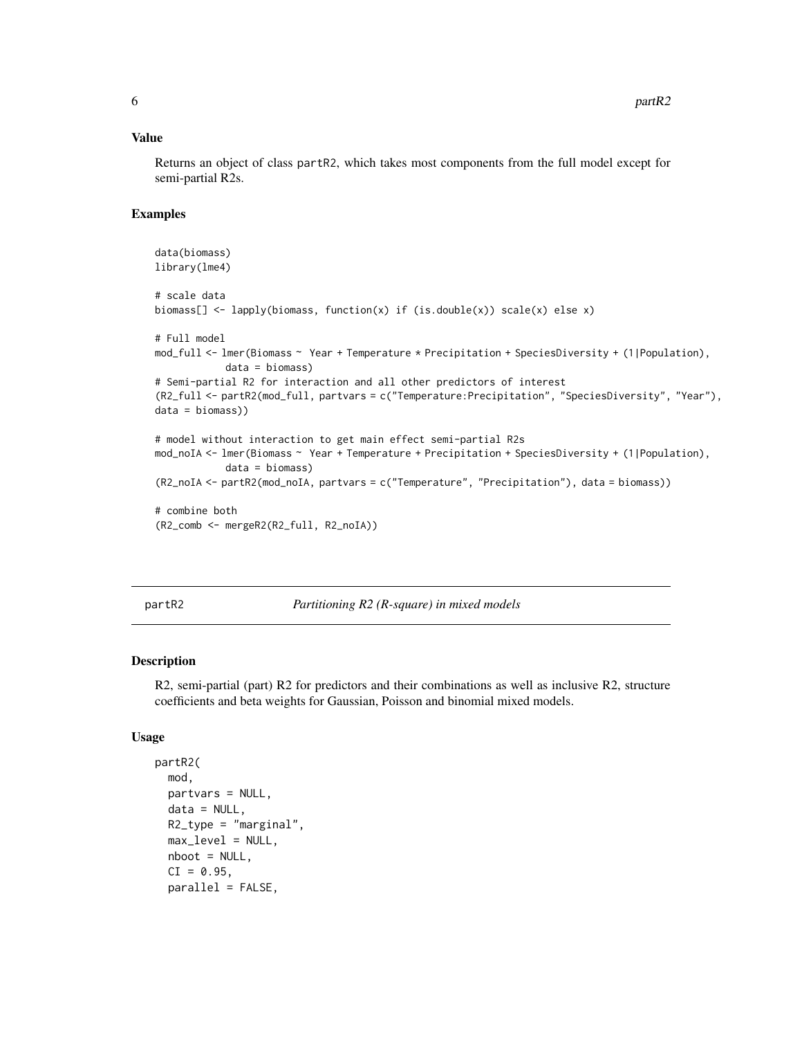#### <span id="page-5-0"></span>Value

Returns an object of class partR2, which takes most components from the full model except for semi-partial R2s.

#### Examples

```
data(biomass)
library(lme4)
# scale data
biomass[] <- lapply(biomass, function(x) if (is.double(x)) scale(x) else x)
# Full model
mod_full <- lmer(Biomass ~ Year + Temperature * Precipitation + SpeciesDiversity + (1|Population),
            data = biomass)
# Semi-partial R2 for interaction and all other predictors of interest
(R2_full <- partR2(mod_full, partvars = c("Temperature:Precipitation", "SpeciesDiversity", "Year"),
data = biomass))
# model without interaction to get main effect semi-partial R2s
mod_noIA <- lmer(Biomass ~ Year + Temperature + Precipitation + SpeciesDiversity + (1|Population),
            data = biomass)
(R2_noIA <- partR2(mod_noIA, partvars = c("Temperature", "Precipitation"), data = biomass))
# combine both
(R2_comb <- mergeR2(R2_full, R2_noIA))
```
<span id="page-5-1"></span>partR2 *Partitioning R2 (R-square) in mixed models*

#### Description

R2, semi-partial (part) R2 for predictors and their combinations as well as inclusive R2, structure coefficients and beta weights for Gaussian, Poisson and binomial mixed models.

#### Usage

```
partR2(
  mod,
  partvars = NULL,
  data = NULL,R2_type = "marginal",
  maxlevel = NULL,
  nboot = NULL,CI = 0.95,
  parallel = FALSE,
```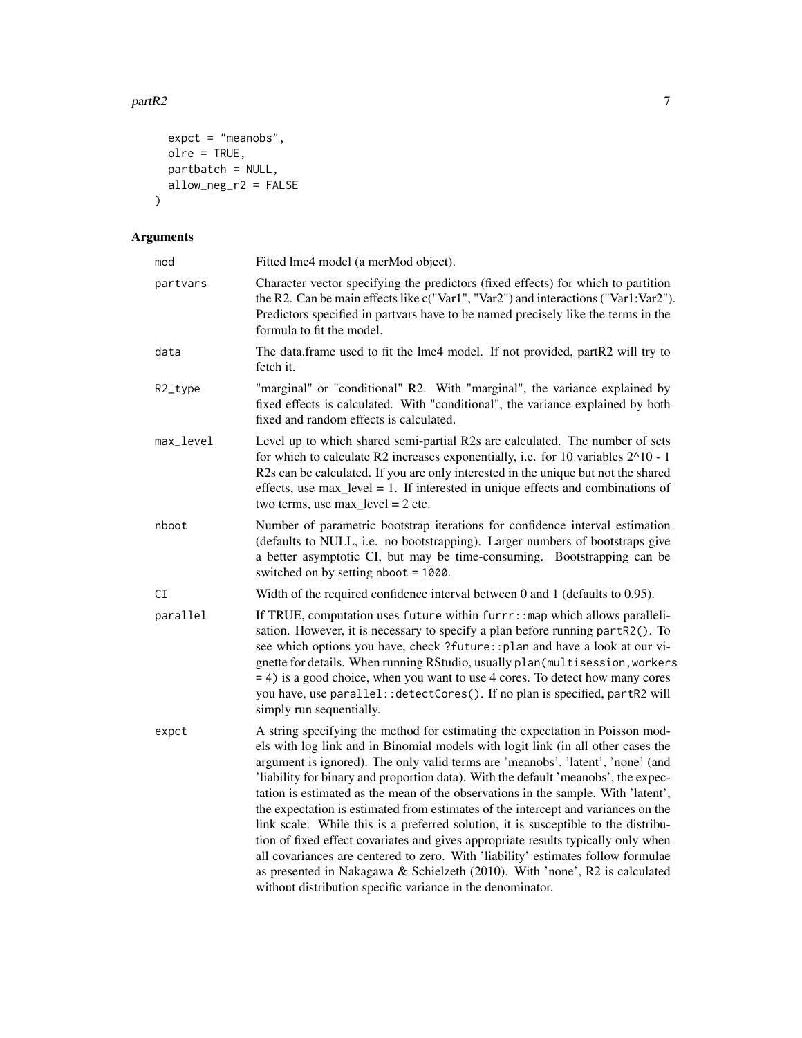```
expct = "meanobs",
  olre = TRUE,
 partbatch = NULL,allow_neg_r2 = FALSE
\overline{)}
```
# Arguments

| mod       | Fitted lme4 model (a merMod object).                                                                                                                                                                                                                                                                                                                                                                                                                                                                                                                                                                                                                                                                                                                                                                                                                                                                                             |
|-----------|----------------------------------------------------------------------------------------------------------------------------------------------------------------------------------------------------------------------------------------------------------------------------------------------------------------------------------------------------------------------------------------------------------------------------------------------------------------------------------------------------------------------------------------------------------------------------------------------------------------------------------------------------------------------------------------------------------------------------------------------------------------------------------------------------------------------------------------------------------------------------------------------------------------------------------|
| partvars  | Character vector specifying the predictors (fixed effects) for which to partition<br>the R2. Can be main effects like c("Var1", "Var2") and interactions ("Var1:Var2").<br>Predictors specified in partvars have to be named precisely like the terms in the<br>formula to fit the model.                                                                                                                                                                                                                                                                                                                                                                                                                                                                                                                                                                                                                                        |
| data      | The data.frame used to fit the lme4 model. If not provided, partR2 will try to<br>fetch it.                                                                                                                                                                                                                                                                                                                                                                                                                                                                                                                                                                                                                                                                                                                                                                                                                                      |
| R2_type   | "marginal" or "conditional" R2. With "marginal", the variance explained by<br>fixed effects is calculated. With "conditional", the variance explained by both<br>fixed and random effects is calculated.                                                                                                                                                                                                                                                                                                                                                                                                                                                                                                                                                                                                                                                                                                                         |
| max_level | Level up to which shared semi-partial R2s are calculated. The number of sets<br>for which to calculate R2 increases exponentially, i.e. for 10 variables $2^{\wedge}10 - 1$<br>R2s can be calculated. If you are only interested in the unique but not the shared<br>effects, use $max$ level = 1. If interested in unique effects and combinations of<br>two terms, use $max$ <sub>level</sub> = 2 etc.                                                                                                                                                                                                                                                                                                                                                                                                                                                                                                                         |
| nboot     | Number of parametric bootstrap iterations for confidence interval estimation<br>(defaults to NULL, i.e. no bootstrapping). Larger numbers of bootstraps give<br>a better asymptotic CI, but may be time-consuming. Bootstrapping can be<br>switched on by setting nboot = 1000.                                                                                                                                                                                                                                                                                                                                                                                                                                                                                                                                                                                                                                                  |
| СI        | Width of the required confidence interval between 0 and 1 (defaults to 0.95).                                                                                                                                                                                                                                                                                                                                                                                                                                                                                                                                                                                                                                                                                                                                                                                                                                                    |
| parallel  | If TRUE, computation uses future within furrr: : map which allows paralleli-<br>sation. However, it is necessary to specify a plan before running partR2(). To<br>see which options you have, check ?future:: plan and have a look at our vi-<br>gnette for details. When running RStudio, usually plan (multisession, workers<br>= 4) is a good choice, when you want to use 4 cores. To detect how many cores<br>you have, use parallel: : detectCores(). If no plan is specified, partR2 will<br>simply run sequentially.                                                                                                                                                                                                                                                                                                                                                                                                     |
| expct     | A string specifying the method for estimating the expectation in Poisson mod-<br>els with log link and in Binomial models with logit link (in all other cases the<br>argument is ignored). The only valid terms are 'meanobs', 'latent', 'none' (and<br>'liability for binary and proportion data). With the default 'meanobs', the expec-<br>tation is estimated as the mean of the observations in the sample. With 'latent',<br>the expectation is estimated from estimates of the intercept and variances on the<br>link scale. While this is a preferred solution, it is susceptible to the distribu-<br>tion of fixed effect covariates and gives appropriate results typically only when<br>all covariances are centered to zero. With 'liability' estimates follow formulae<br>as presented in Nakagawa & Schielzeth (2010). With 'none', R2 is calculated<br>without distribution specific variance in the denominator. |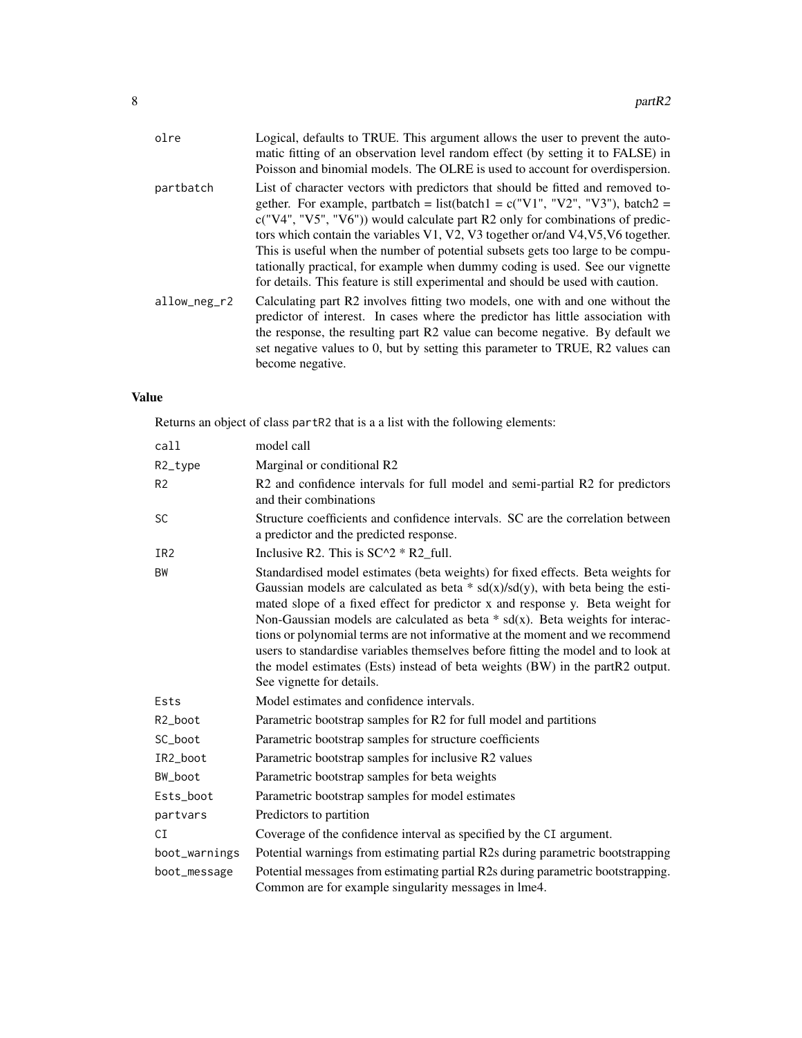| olre         | Logical, defaults to TRUE. This argument allows the user to prevent the auto-<br>matic fitting of an observation level random effect (by setting it to FALSE) in<br>Poisson and binomial models. The OLRE is used to account for overdispersion.                                                                                                                                                                                                                                                                                                                                                |
|--------------|-------------------------------------------------------------------------------------------------------------------------------------------------------------------------------------------------------------------------------------------------------------------------------------------------------------------------------------------------------------------------------------------------------------------------------------------------------------------------------------------------------------------------------------------------------------------------------------------------|
| partbatch    | List of character vectors with predictors that should be fitted and removed to-<br>gether. For example, partbatch = list(batch1 = $c("V1", "V2", "V3"), batch2 =$<br>$c("V4", "V5", "V6")$ would calculate part R2 only for combinations of predic-<br>tors which contain the variables V1, V2, V3 together or/and V4, V5, V6 together.<br>This is useful when the number of potential subsets gets too large to be compu-<br>tationally practical, for example when dummy coding is used. See our vignette<br>for details. This feature is still experimental and should be used with caution. |
| allow_neg_r2 | Calculating part R2 involves fitting two models, one with and one without the<br>predictor of interest. In cases where the predictor has little association with<br>the response, the resulting part R2 value can become negative. By default we<br>set negative values to 0, but by setting this parameter to TRUE, R2 values can<br>become negative.                                                                                                                                                                                                                                          |

# Value

Returns an object of class partR2 that is a a list with the following elements:

| call            | model call                                                                                                                                                                                                                                                                                                                                                                                                                                                                                                                                                                                                                  |
|-----------------|-----------------------------------------------------------------------------------------------------------------------------------------------------------------------------------------------------------------------------------------------------------------------------------------------------------------------------------------------------------------------------------------------------------------------------------------------------------------------------------------------------------------------------------------------------------------------------------------------------------------------------|
| R2_type         | Marginal or conditional R2                                                                                                                                                                                                                                                                                                                                                                                                                                                                                                                                                                                                  |
| R <sub>2</sub>  | R2 and confidence intervals for full model and semi-partial R2 for predictors<br>and their combinations                                                                                                                                                                                                                                                                                                                                                                                                                                                                                                                     |
| <b>SC</b>       | Structure coefficients and confidence intervals. SC are the correlation between<br>a predictor and the predicted response.                                                                                                                                                                                                                                                                                                                                                                                                                                                                                                  |
| IR <sub>2</sub> | Inclusive R2. This is $SC^2 * R2$ full.                                                                                                                                                                                                                                                                                                                                                                                                                                                                                                                                                                                     |
| BW              | Standardised model estimates (beta weights) for fixed effects. Beta weights for<br>Gaussian models are calculated as beta $*$ sd(x)/sd(y), with beta being the esti-<br>mated slope of a fixed effect for predictor x and response y. Beta weight for<br>Non-Gaussian models are calculated as beta $*$ sd(x). Beta weights for interac-<br>tions or polynomial terms are not informative at the moment and we recommend<br>users to standardise variables themselves before fitting the model and to look at<br>the model estimates (Ests) instead of beta weights (BW) in the partR2 output.<br>See vignette for details. |
| Ests            | Model estimates and confidence intervals.                                                                                                                                                                                                                                                                                                                                                                                                                                                                                                                                                                                   |
| R2_boot         | Parametric bootstrap samples for R2 for full model and partitions                                                                                                                                                                                                                                                                                                                                                                                                                                                                                                                                                           |
| SC_boot         | Parametric bootstrap samples for structure coefficients                                                                                                                                                                                                                                                                                                                                                                                                                                                                                                                                                                     |
| IR2_boot        | Parametric bootstrap samples for inclusive R2 values                                                                                                                                                                                                                                                                                                                                                                                                                                                                                                                                                                        |
| BW_boot         | Parametric bootstrap samples for beta weights                                                                                                                                                                                                                                                                                                                                                                                                                                                                                                                                                                               |
| Ests_boot       | Parametric bootstrap samples for model estimates                                                                                                                                                                                                                                                                                                                                                                                                                                                                                                                                                                            |
| partvars        | Predictors to partition                                                                                                                                                                                                                                                                                                                                                                                                                                                                                                                                                                                                     |
| CI              | Coverage of the confidence interval as specified by the CI argument.                                                                                                                                                                                                                                                                                                                                                                                                                                                                                                                                                        |
| boot_warnings   | Potential warnings from estimating partial R2s during parametric bootstrapping                                                                                                                                                                                                                                                                                                                                                                                                                                                                                                                                              |
| boot_message    | Potential messages from estimating partial R2s during parametric bootstrapping.<br>Common are for example singularity messages in lme4.                                                                                                                                                                                                                                                                                                                                                                                                                                                                                     |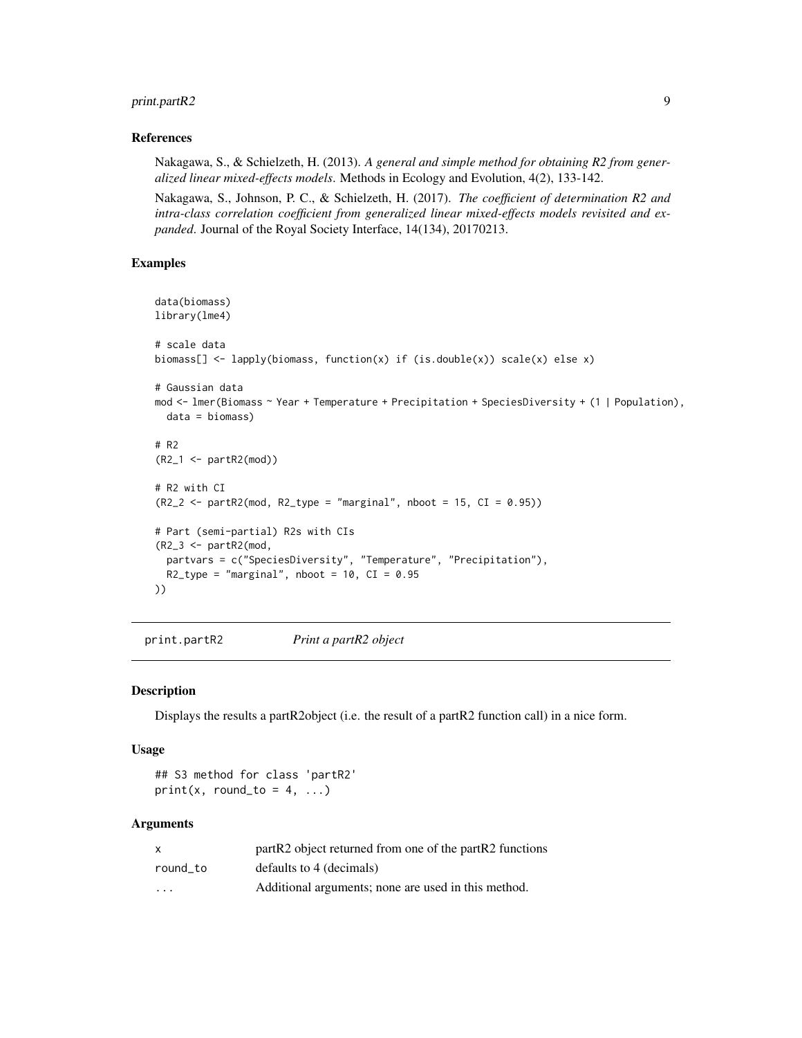### <span id="page-8-0"></span>print.partR2 9

#### References

Nakagawa, S., & Schielzeth, H. (2013). *A general and simple method for obtaining R2 from generalized linear mixed-effects models*. Methods in Ecology and Evolution, 4(2), 133-142.

Nakagawa, S., Johnson, P. C., & Schielzeth, H. (2017). *The coefficient of determination R2 and intra-class correlation coefficient from generalized linear mixed-effects models revisited and expanded*. Journal of the Royal Society Interface, 14(134), 20170213.

#### Examples

```
data(biomass)
library(lme4)
# scale data
biomass[] <- lapply(biomass, function(x) if (is.double(x)) scale(x) else x)
# Gaussian data
mod <- lmer(Biomass ~ Year + Temperature + Precipitation + SpeciesDiversity + (1 | Population),
 data = biomass)
# R2
(R2_1 <- partR2(mod))
# R2 with CI
(R2_2 < - partR2(mod, R2_type = "marginal", nboot = 15, CI = 0.95))
# Part (semi-partial) R2s with CIs
(R2_3 <- partR2(mod,
 partvars = c("SpeciesDiversity", "Temperature", "Precipitation"),
 R2_type = "marginal", \n  photot = 10, \n  CI = 0.95))
```
print.partR2 *Print a partR2 object*

#### Description

Displays the results a partR2object (i.e. the result of a partR2 function call) in a nice form.

#### Usage

## S3 method for class 'partR2'  $print(x, round_to = 4, ...)$ 

#### Arguments

| X        | part R2 object returned from one of the part R2 functions |
|----------|-----------------------------------------------------------|
| round to | defaults to 4 (decimals)                                  |
| .        | Additional arguments; none are used in this method.       |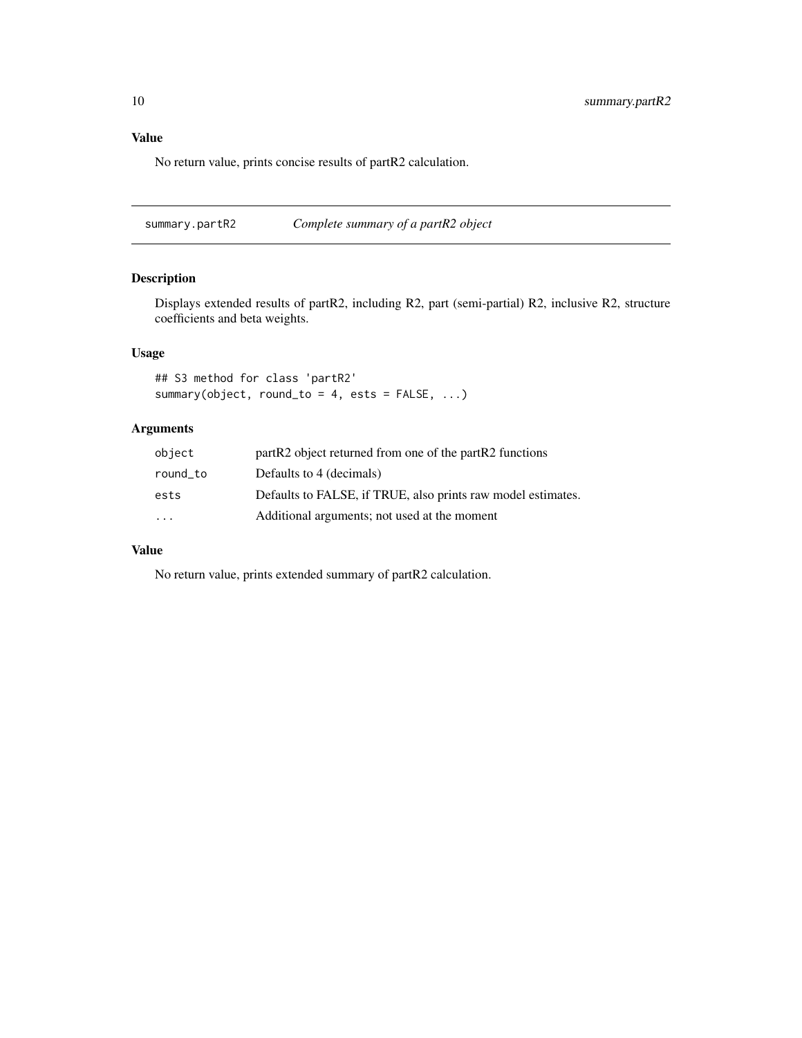## <span id="page-9-0"></span>Value

No return value, prints concise results of partR2 calculation.

<span id="page-9-1"></span>summary.partR2 *Complete summary of a partR2 object*

### Description

Displays extended results of partR2, including R2, part (semi-partial) R2, inclusive R2, structure coefficients and beta weights.

### Usage

```
## S3 method for class 'partR2'
summary(object, round_to = 4, ests = FALSE, ...)
```
#### Arguments

| object    | partR2 object returned from one of the partR2 functions      |
|-----------|--------------------------------------------------------------|
| round to  | Defaults to 4 (decimals)                                     |
| ests      | Defaults to FALSE, if TRUE, also prints raw model estimates. |
| $\ddotsc$ | Additional arguments; not used at the moment                 |

#### Value

No return value, prints extended summary of partR2 calculation.